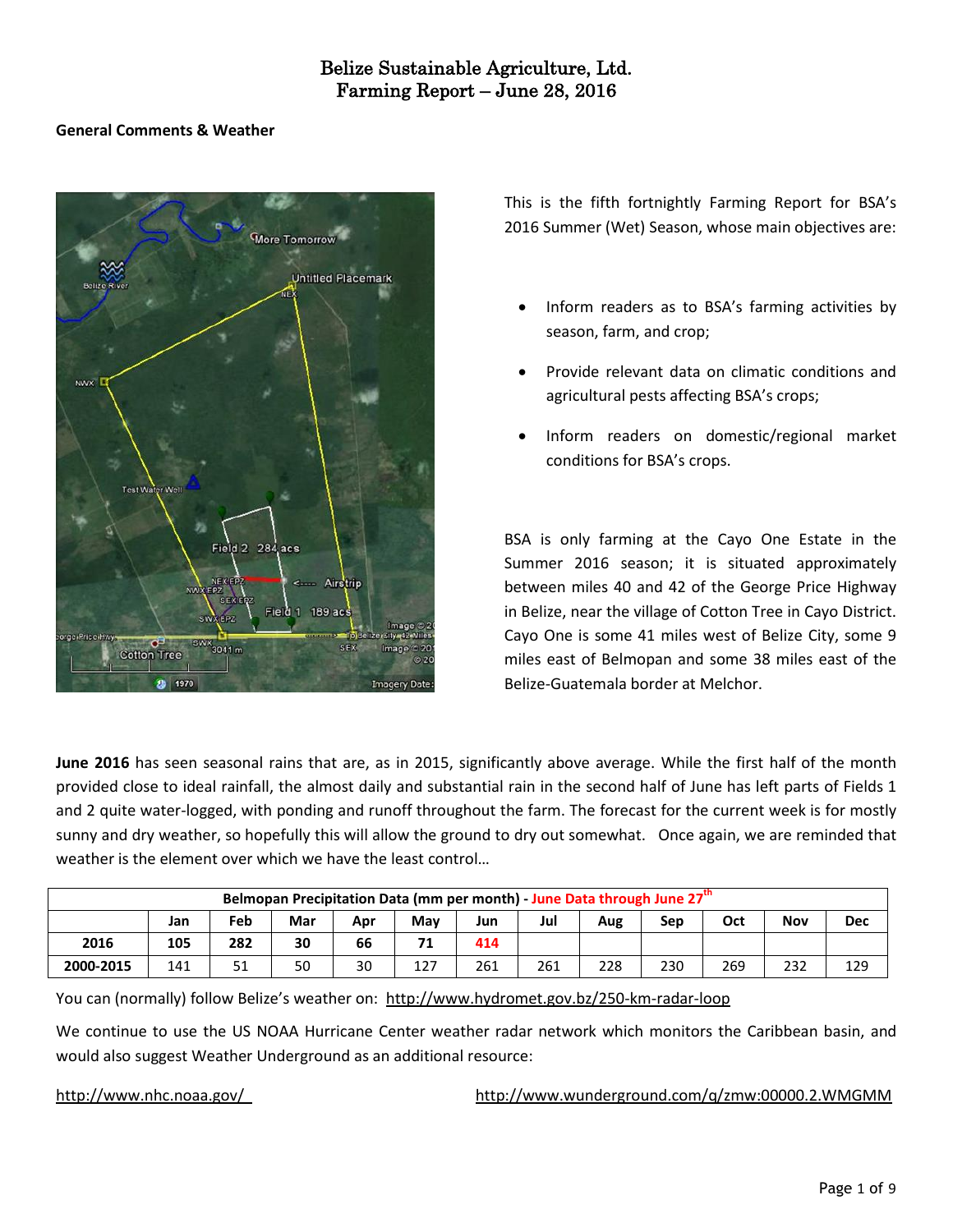#### **General Comments & Weather**



This is the fifth fortnightly Farming Report for BSA's 2016 Summer (Wet) Season, whose main objectives are:

- Inform readers as to BSA's farming activities by season, farm, and crop;
- Provide relevant data on climatic conditions and agricultural pests affecting BSA's crops;
- Inform readers on domestic/regional market conditions for BSA's crops.

BSA is only farming at the Cayo One Estate in the Summer 2016 season; it is situated approximately between miles 40 and 42 of the George Price Highway in Belize, near the village of Cotton Tree in Cayo District. Cayo One is some 41 miles west of Belize City, some 9 miles east of Belmopan and some 38 miles east of the Belize-Guatemala border at Melchor.

**June 2016** has seen seasonal rains that are, as in 2015, significantly above average. While the first half of the month provided close to ideal rainfall, the almost daily and substantial rain in the second half of June has left parts of Fields 1 and 2 quite water-logged, with ponding and runoff throughout the farm. The forecast for the current week is for mostly sunny and dry weather, so hopefully this will allow the ground to dry out somewhat. Once again, we are reminded that weather is the element over which we have the least control…

|           |                                                                                  |     |    |    |     | Belmopan Precipitation Data (mm per month) - June Data through June 27 <sup>th</sup> |     |     |     |     |     |     |  |  |  |  |  |  |  |  |
|-----------|----------------------------------------------------------------------------------|-----|----|----|-----|--------------------------------------------------------------------------------------|-----|-----|-----|-----|-----|-----|--|--|--|--|--|--|--|--|
|           | Jul<br>Feb<br>Dec<br>Oct<br>Nov<br>Mar<br>May<br>Jun<br>Apr<br>Aug<br>Sep<br>Jan |     |    |    |     |                                                                                      |     |     |     |     |     |     |  |  |  |  |  |  |  |  |
| 2016      | 105                                                                              | 282 | 30 | 66 | 71  | 414                                                                                  |     |     |     |     |     |     |  |  |  |  |  |  |  |  |
| 2000-2015 | 141                                                                              | 51  | 50 | 30 | 127 | 261                                                                                  | 261 | 228 | 230 | 269 | 232 | 129 |  |  |  |  |  |  |  |  |

You can (normally) follow Belize's weather on: <http://www.hydromet.gov.bz/250-km-radar-loop>

We continue to use the US NOAA Hurricane Center weather radar network which monitors the Caribbean basin, and would also suggest Weather Underground as an additional resource:

<http://www.nhc.noaa.gov/><http://www.wunderground.com/q/zmw:00000.2.WMGMM>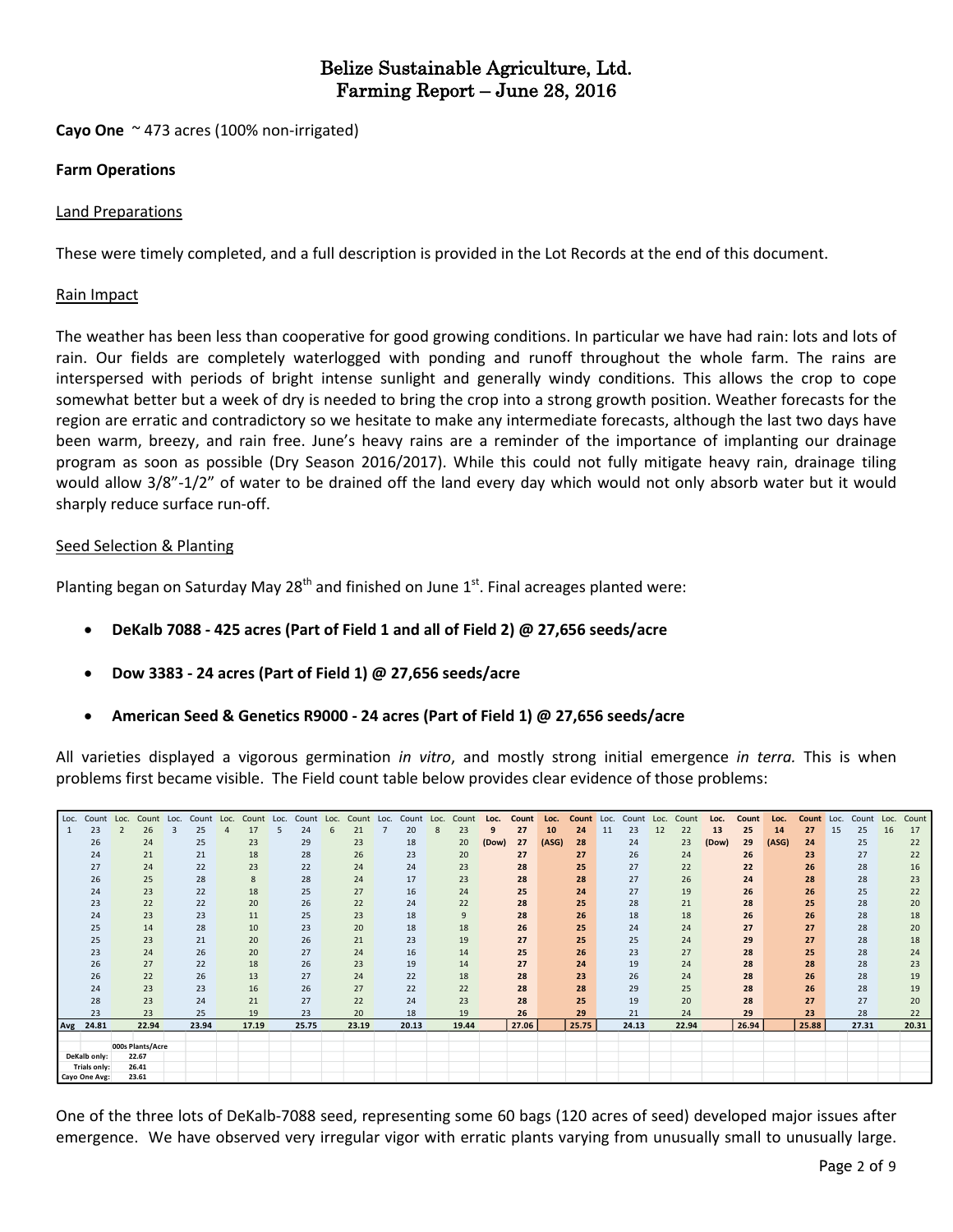**Cayo One** ~ 473 acres (100% non-irrigated)

#### **Farm Operations**

#### Land Preparations

These were timely completed, and a full description is provided in the Lot Records at the end of this document.

#### Rain Impact

The weather has been less than cooperative for good growing conditions. In particular we have had rain: lots and lots of rain. Our fields are completely waterlogged with ponding and runoff throughout the whole farm. The rains are interspersed with periods of bright intense sunlight and generally windy conditions. This allows the crop to cope somewhat better but a week of dry is needed to bring the crop into a strong growth position. Weather forecasts for the region are erratic and contradictory so we hesitate to make any intermediate forecasts, although the last two days have been warm, breezy, and rain free. June's heavy rains are a reminder of the importance of implanting our drainage program as soon as possible (Dry Season 2016/2017). While this could not fully mitigate heavy rain, drainage tiling would allow 3/8"-1/2" of water to be drained off the land every day which would not only absorb water but it would sharply reduce surface run-off.

#### Seed Selection & Planting

Planting began on Saturday May 28<sup>th</sup> and finished on June 1<sup>st</sup>. Final acreages planted were:

- **DeKalb 7088 - 425 acres (Part of Field 1 and all of Field 2) @ 27,656 seeds/acre**
- **Dow 3383 - 24 acres (Part of Field 1) @ 27,656 seeds/acre**
- **American Seed & Genetics R9000 - 24 acres (Part of Field 1) @ 27,656 seeds/acre**

All varieties displayed a vigorous germination *in vitro*, and mostly strong initial emergence *in terra.* This is when problems first became visible. The Field count table below provides clear evidence of those problems:

|     | Loc. Count Loc. | Count                     | Loc. | Count | Loc. | Count | Loc. | Count | Loc. | Count | Loc. | Count | Loc. | Count | Loc.  | Count | Loc.  | Count | Loc. | Count | Loc. | Count | Loc.  | Count | Loc.  | Count | Loc. | Count Loc. |    | Count |
|-----|-----------------|---------------------------|------|-------|------|-------|------|-------|------|-------|------|-------|------|-------|-------|-------|-------|-------|------|-------|------|-------|-------|-------|-------|-------|------|------------|----|-------|
|     | 23              | 26                        | 3    | 25    |      | 17    |      | 24    |      | 21    |      | 20    | 8    | 23    |       | 27    | 10    | 24    | 11   | 23    | 12   | 22    | 13    | 25    | 14    | 27    | 15   | 25         | 16 | 17    |
|     | 26              | 24                        |      | 25    |      | 23    |      | 29    |      | 23    |      | 18    |      | 20    | (Dow) | 27    | (ASG) | 28    |      | 24    |      | 23    | (Dow) | 29    | (ASG) | 24    |      | 25         |    | 22    |
|     | 24              | 21                        |      | 21    |      | 18    |      | 28    |      | 26    |      | 23    |      | 20    |       | 27    |       | 27    |      | 26    |      | 24    |       | 26    |       | 23    |      | 27         |    | 22    |
|     | 27              | 24                        |      | 22    |      | 23    |      | 22    |      | 24    |      | 24    |      | 23    |       | 28    |       | 25    |      | 27    |      | 22    |       | 22    |       | 26    |      | 28         |    | 16    |
|     | 26              | 25                        |      | 28    |      | 8     |      | 28    |      | 24    |      | 17    |      | 23    |       | 28    |       | 28    |      | 27    |      | 26    |       | 24    |       | 28    |      | 28         |    | 23    |
|     | 24              | 23                        |      | 22    |      | 18    |      | 25    |      | 27    |      | 16    |      | 24    |       | 25    |       | 24    |      | 27    |      | 19    |       | 26    |       | 26    |      | 25         |    | 22    |
|     | 23              | 22                        |      | 22    |      | 20    |      | 26    |      | 22    |      | 24    |      | 22    |       | 28    |       | 25    |      | 28    |      | 21    |       | 28    |       | 25    |      | 28         |    | 20    |
|     | 24              | 23                        |      | 23    |      | 11    |      | 25    |      | 23    |      | 18    |      | 9     |       | 28    |       | 26    |      | 18    |      | 18    |       | 26    |       | 26    |      | 28         |    | 18    |
|     | 25              | 14                        |      | 28    |      | 10    |      | 23    |      | 20    |      | 18    |      | 18    |       | 26    |       | 25    |      | 24    |      | 24    |       | 27    |       | 27    |      | 28         |    | 20    |
|     | 25              | 23                        |      | 21    |      | 20    |      | 26    |      | 21    |      | 23    |      | 19    |       | 27    |       | 25    |      | 25    |      | 24    |       | 29    |       | 27    |      | 28         |    | 18    |
|     | 23              | 24                        |      | 26    |      | 20    |      | 27    |      | 24    |      | 16    |      | 14    |       | 25    |       | 26    |      | 23    |      | 27    |       | 28    |       | 25    |      | 28         |    | 24    |
|     | 26              | 27                        |      | 22    |      | 18    |      | 26    |      | 23    |      | 19    |      | 14    |       | 27    |       | 24    |      | 19    |      | 24    |       | 28    |       | 28    |      | 28         |    | 23    |
|     | 26              | 22                        |      | 26    |      | 13    |      | 27    |      | 24    |      | 22    |      | 18    |       | 28    |       | 23    |      | 26    |      | 24    |       | 28    |       | 26    |      | 28         |    | 19    |
|     | 24              | 23                        |      | 23    |      | 16    |      | 26    |      | 27    |      | 22    |      | 22    |       | 28    |       | 28    |      | 29    |      | 25    |       | 28    |       | 26    |      | 28         |    | 19    |
|     | 28              | 23                        |      | 24    |      | 21    |      | 27    |      | 22    |      | 24    |      | 23    |       | 28    |       | 25    |      | 19    |      | 20    |       | 28    |       | 27    |      | 27         |    | 20    |
|     | 23              | 23                        |      | 25    |      | 19    |      | 23    |      | 20    |      | 18    |      | 19    |       | 26    |       | 29    |      | 21    |      | 24    |       | 29    |       | 23    |      | 28         |    | 22    |
| Avg | 24.81           | 22.94                     |      | 23.94 |      | 17.19 |      | 25.75 |      | 23.19 |      | 20.13 |      | 19.44 |       | 27.06 |       | 25.75 |      | 24.13 |      | 22.94 |       | 26.94 |       | 25.88 |      | 27.31      |    | 20.31 |
|     |                 |                           |      |       |      |       |      |       |      |       |      |       |      |       |       |       |       |       |      |       |      |       |       |       |       |       |      |            |    |       |
|     | DeKalb only:    | 000s Plants/Acre<br>22.67 |      |       |      |       |      |       |      |       |      |       |      |       |       |       |       |       |      |       |      |       |       |       |       |       |      |            |    |       |
|     | Trials only:    | 26.41                     |      |       |      |       |      |       |      |       |      |       |      |       |       |       |       |       |      |       |      |       |       |       |       |       |      |            |    |       |
|     | Cayo One Avg:   | 23.61                     |      |       |      |       |      |       |      |       |      |       |      |       |       |       |       |       |      |       |      |       |       |       |       |       |      |            |    |       |

One of the three lots of DeKalb-7088 seed, representing some 60 bags (120 acres of seed) developed major issues after emergence. We have observed very irregular vigor with erratic plants varying from unusually small to unusually large.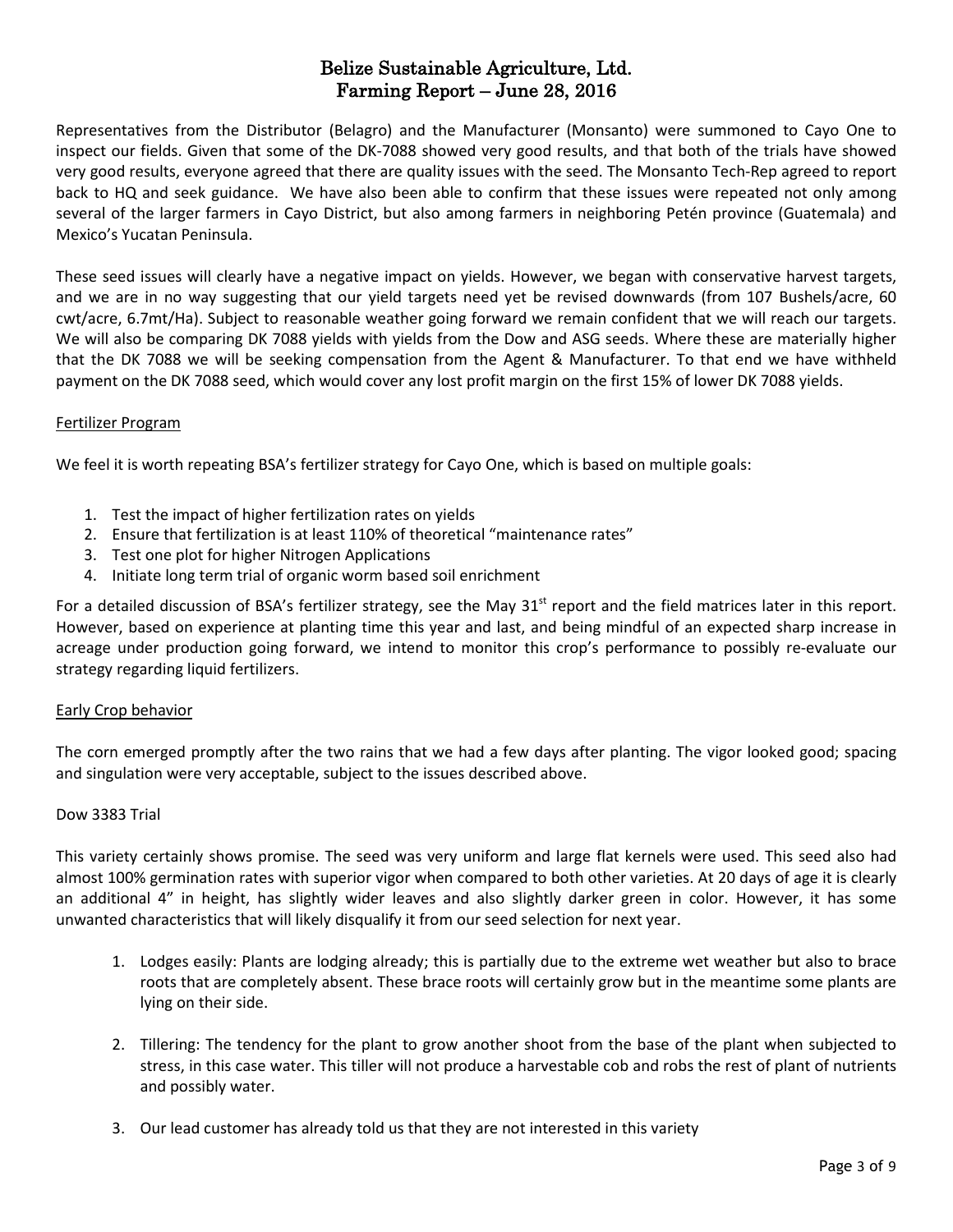Representatives from the Distributor (Belagro) and the Manufacturer (Monsanto) were summoned to Cayo One to inspect our fields. Given that some of the DK-7088 showed very good results, and that both of the trials have showed very good results, everyone agreed that there are quality issues with the seed. The Monsanto Tech-Rep agreed to report back to HQ and seek guidance. We have also been able to confirm that these issues were repeated not only among several of the larger farmers in Cayo District, but also among farmers in neighboring Petén province (Guatemala) and Mexico's Yucatan Peninsula.

These seed issues will clearly have a negative impact on yields. However, we began with conservative harvest targets, and we are in no way suggesting that our yield targets need yet be revised downwards (from 107 Bushels/acre, 60 cwt/acre, 6.7mt/Ha). Subject to reasonable weather going forward we remain confident that we will reach our targets. We will also be comparing DK 7088 yields with yields from the Dow and ASG seeds. Where these are materially higher that the DK 7088 we will be seeking compensation from the Agent & Manufacturer. To that end we have withheld payment on the DK 7088 seed, which would cover any lost profit margin on the first 15% of lower DK 7088 yields.

#### Fertilizer Program

We feel it is worth repeating BSA's fertilizer strategy for Cayo One, which is based on multiple goals:

- 1. Test the impact of higher fertilization rates on yields
- 2. Ensure that fertilization is at least 110% of theoretical "maintenance rates"
- 3. Test one plot for higher Nitrogen Applications
- 4. Initiate long term trial of organic worm based soil enrichment

For a detailed discussion of BSA's fertilizer strategy, see the May  $31^{st}$  report and the field matrices later in this report. However, based on experience at planting time this year and last, and being mindful of an expected sharp increase in acreage under production going forward, we intend to monitor this crop's performance to possibly re-evaluate our strategy regarding liquid fertilizers.

#### Early Crop behavior

The corn emerged promptly after the two rains that we had a few days after planting. The vigor looked good; spacing and singulation were very acceptable, subject to the issues described above.

#### Dow 3383 Trial

This variety certainly shows promise. The seed was very uniform and large flat kernels were used. This seed also had almost 100% germination rates with superior vigor when compared to both other varieties. At 20 days of age it is clearly an additional 4" in height, has slightly wider leaves and also slightly darker green in color. However, it has some unwanted characteristics that will likely disqualify it from our seed selection for next year.

- 1. Lodges easily: Plants are lodging already; this is partially due to the extreme wet weather but also to brace roots that are completely absent. These brace roots will certainly grow but in the meantime some plants are lying on their side.
- 2. Tillering: The tendency for the plant to grow another shoot from the base of the plant when subjected to stress, in this case water. This tiller will not produce a harvestable cob and robs the rest of plant of nutrients and possibly water.
- 3. Our lead customer has already told us that they are not interested in this variety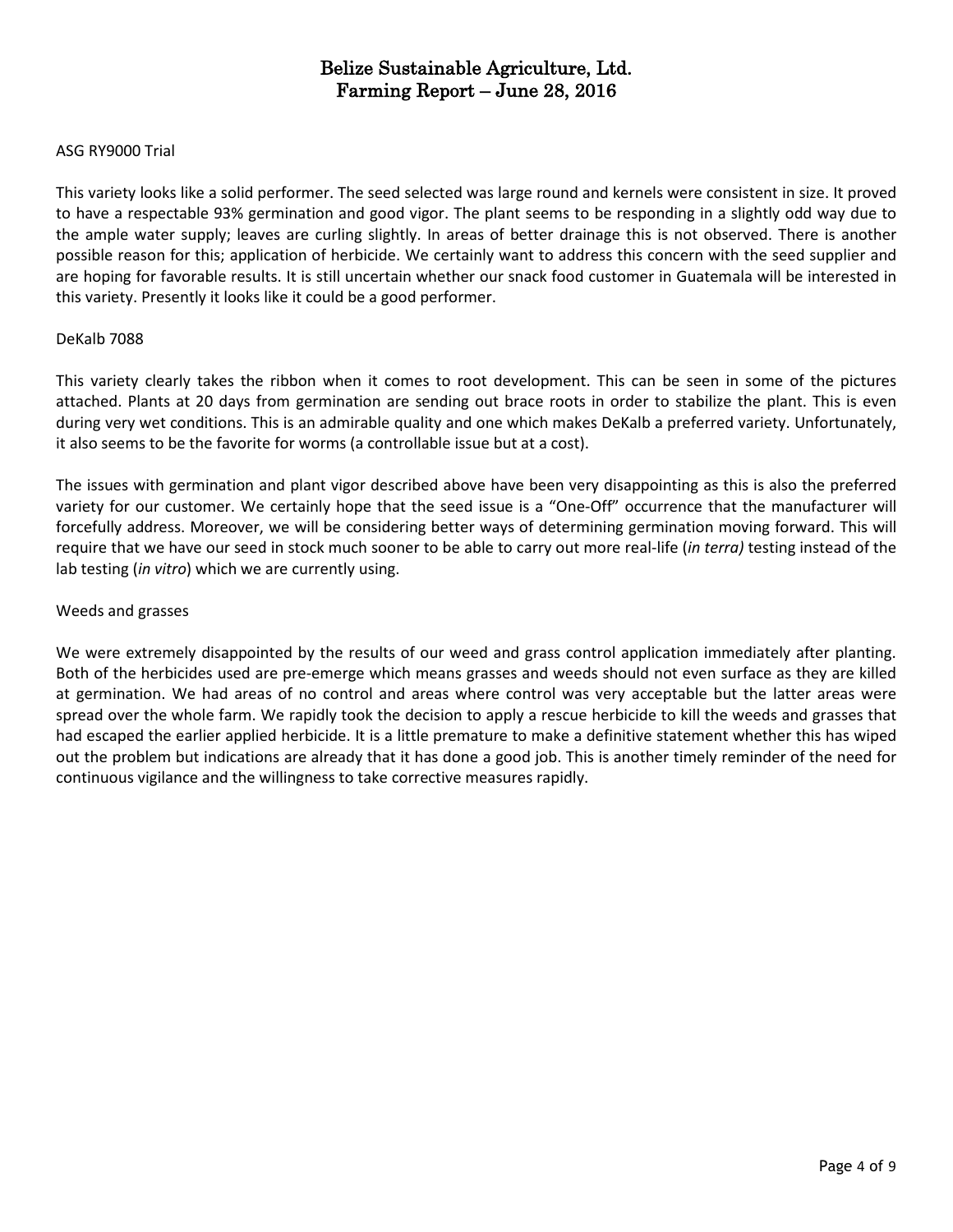#### ASG RY9000 Trial

This variety looks like a solid performer. The seed selected was large round and kernels were consistent in size. It proved to have a respectable 93% germination and good vigor. The plant seems to be responding in a slightly odd way due to the ample water supply; leaves are curling slightly. In areas of better drainage this is not observed. There is another possible reason for this; application of herbicide. We certainly want to address this concern with the seed supplier and are hoping for favorable results. It is still uncertain whether our snack food customer in Guatemala will be interested in this variety. Presently it looks like it could be a good performer.

#### DeKalb 7088

This variety clearly takes the ribbon when it comes to root development. This can be seen in some of the pictures attached. Plants at 20 days from germination are sending out brace roots in order to stabilize the plant. This is even during very wet conditions. This is an admirable quality and one which makes DeKalb a preferred variety. Unfortunately, it also seems to be the favorite for worms (a controllable issue but at a cost).

The issues with germination and plant vigor described above have been very disappointing as this is also the preferred variety for our customer. We certainly hope that the seed issue is a "One-Off" occurrence that the manufacturer will forcefully address. Moreover, we will be considering better ways of determining germination moving forward. This will require that we have our seed in stock much sooner to be able to carry out more real-life (*in terra)* testing instead of the lab testing (*in vitro*) which we are currently using.

#### Weeds and grasses

We were extremely disappointed by the results of our weed and grass control application immediately after planting. Both of the herbicides used are pre-emerge which means grasses and weeds should not even surface as they are killed at germination. We had areas of no control and areas where control was very acceptable but the latter areas were spread over the whole farm. We rapidly took the decision to apply a rescue herbicide to kill the weeds and grasses that had escaped the earlier applied herbicide. It is a little premature to make a definitive statement whether this has wiped out the problem but indications are already that it has done a good job. This is another timely reminder of the need for continuous vigilance and the willingness to take corrective measures rapidly.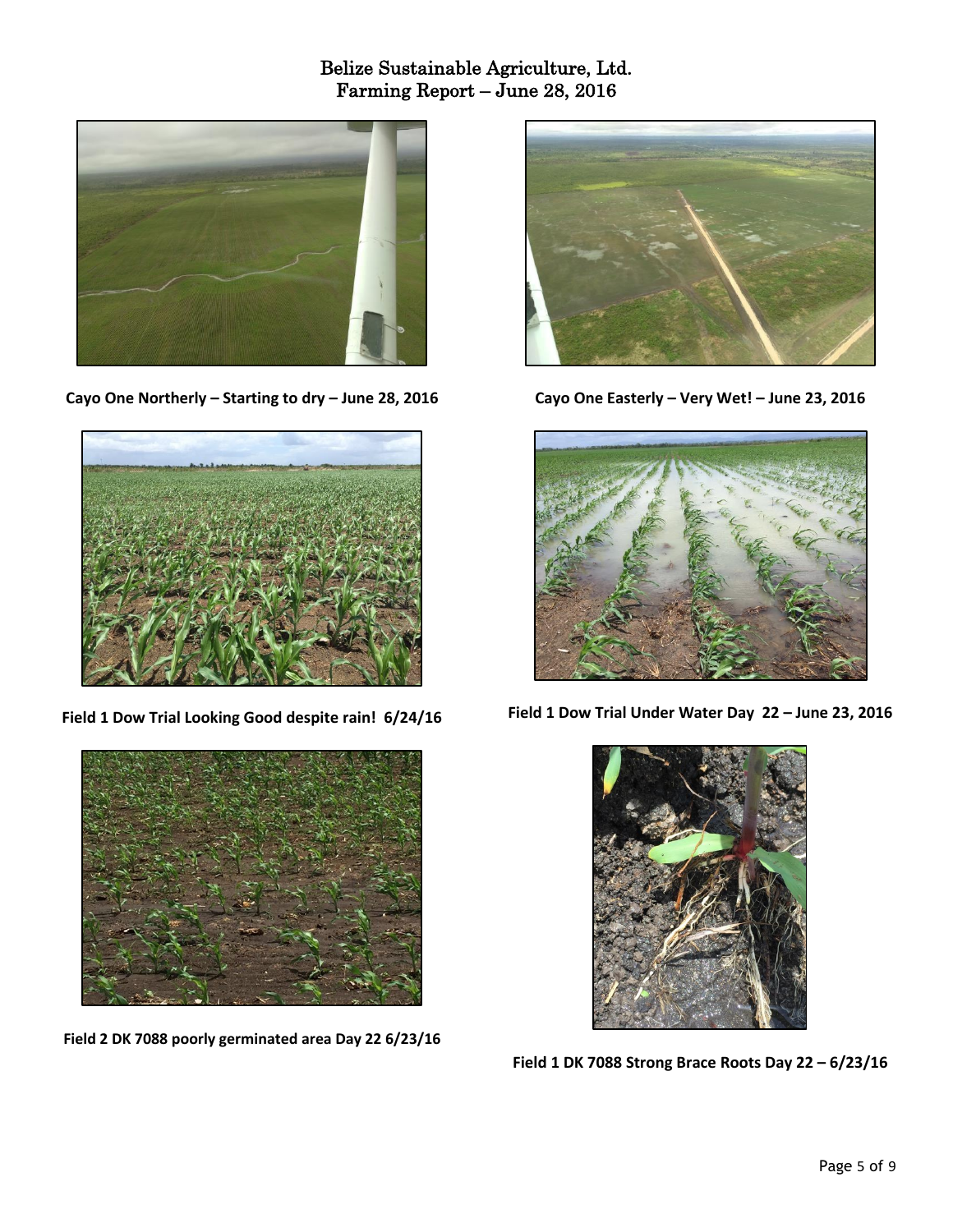

**Cayo One Northerly – Starting to dry – June 28, 2016**



**Field 1 Dow Trial Looking Good despite rain! 6/24/16**



**Field 2 DK 7088 poorly germinated area Day 22 6/23/16**



**Cayo One Easterly – Very Wet! – June 23, 2016**



**Field 1 Dow Trial Under Water Day 22 – June 23, 2016**



**Field 1 DK 7088 Strong Brace Roots Day 22 – 6/23/16**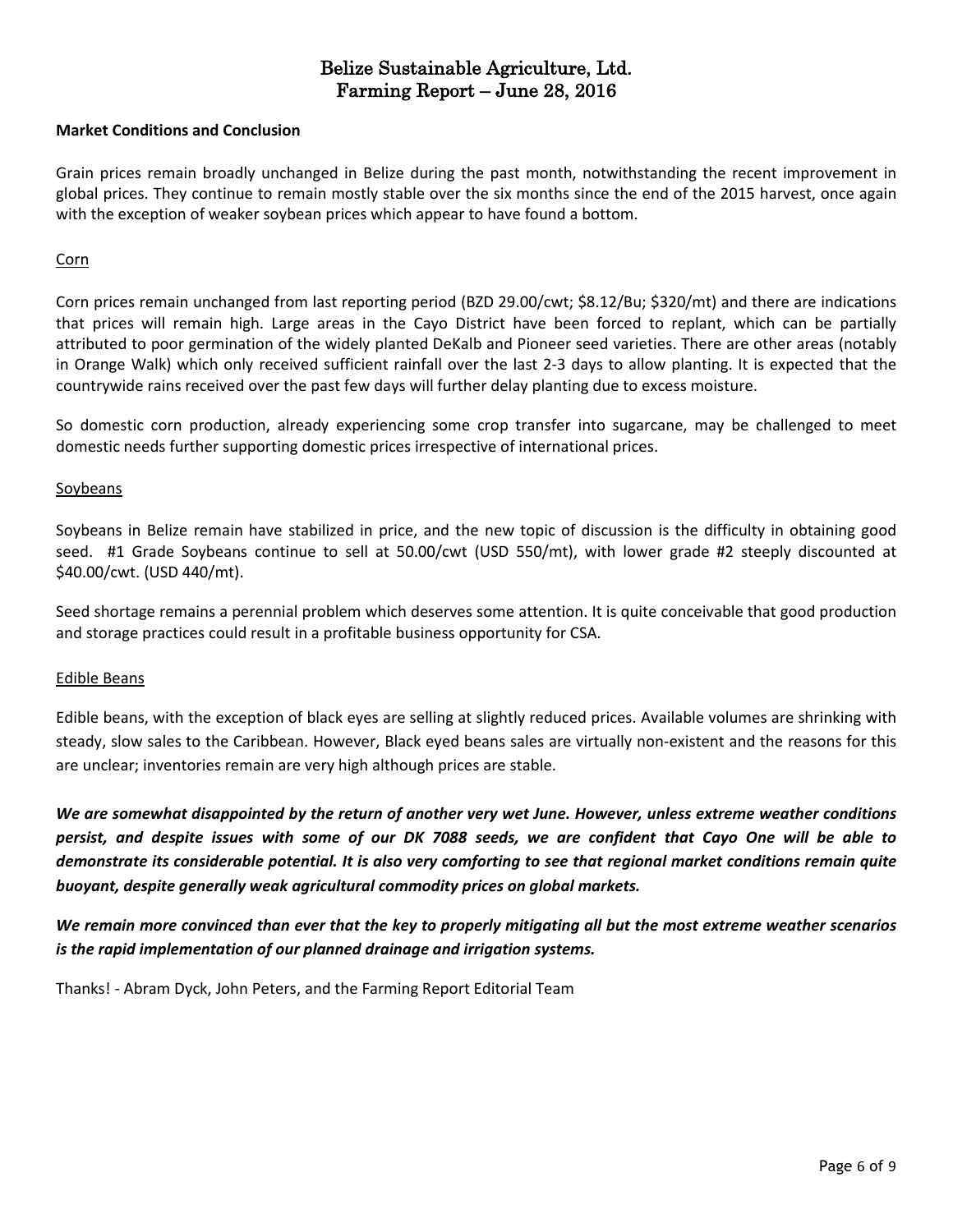#### **Market Conditions and Conclusion**

Grain prices remain broadly unchanged in Belize during the past month, notwithstanding the recent improvement in global prices. They continue to remain mostly stable over the six months since the end of the 2015 harvest, once again with the exception of weaker soybean prices which appear to have found a bottom.

#### Corn

Corn prices remain unchanged from last reporting period (BZD 29.00/cwt; \$8.12/Bu; \$320/mt) and there are indications that prices will remain high. Large areas in the Cayo District have been forced to replant, which can be partially attributed to poor germination of the widely planted DeKalb and Pioneer seed varieties. There are other areas (notably in Orange Walk) which only received sufficient rainfall over the last 2-3 days to allow planting. It is expected that the countrywide rains received over the past few days will further delay planting due to excess moisture.

So domestic corn production, already experiencing some crop transfer into sugarcane, may be challenged to meet domestic needs further supporting domestic prices irrespective of international prices.

#### **Soybeans**

Soybeans in Belize remain have stabilized in price, and the new topic of discussion is the difficulty in obtaining good seed. #1 Grade Soybeans continue to sell at 50.00/cwt (USD 550/mt), with lower grade #2 steeply discounted at \$40.00/cwt. (USD 440/mt).

Seed shortage remains a perennial problem which deserves some attention. It is quite conceivable that good production and storage practices could result in a profitable business opportunity for CSA.

#### Edible Beans

Edible beans, with the exception of black eyes are selling at slightly reduced prices. Available volumes are shrinking with steady, slow sales to the Caribbean. However, Black eyed beans sales are virtually non-existent and the reasons for this are unclear; inventories remain are very high although prices are stable.

We are somewhat disappointed by the return of another very wet June. However, unless extreme weather conditions persist, and despite issues with some of our DK 7088 seeds, we are confident that Cayo One will be able to demonstrate its considerable potential. It is also very comforting to see that regional market conditions remain quite *buoyant, despite generally weak agricultural commodity prices on global markets.*

We remain more convinced than ever that the key to properly mitigating all but the most extreme weather scenarios *is the rapid implementation of our planned drainage and irrigation systems.*

Thanks! - Abram Dyck, John Peters, and the Farming Report Editorial Team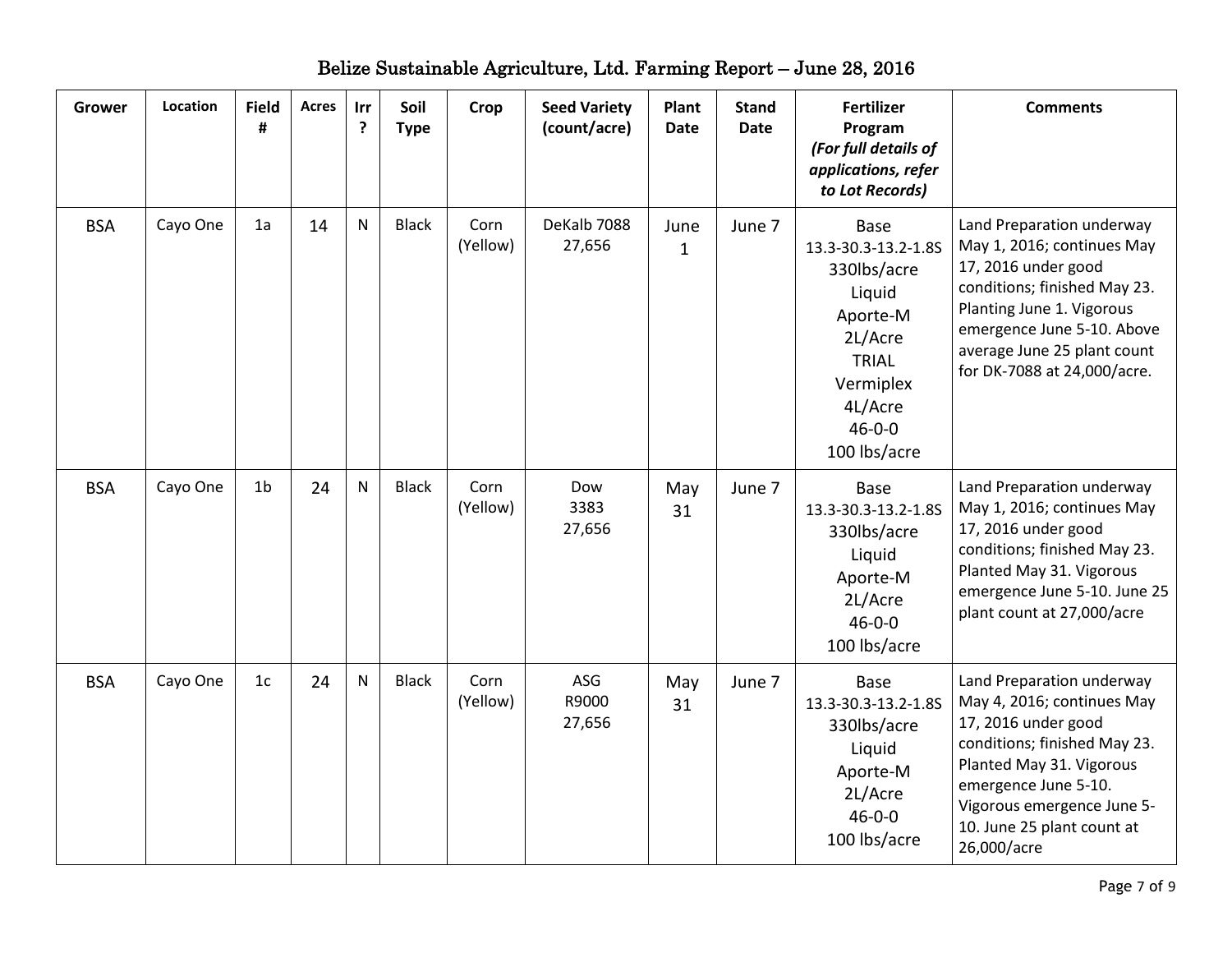| <b>Grower</b> | Location | <b>Field</b><br># | <b>Acres</b> | Irr<br>? | Soil<br><b>Type</b> | Crop             | <b>Seed Variety</b><br>(count/acre) | Plant<br><b>Date</b> | <b>Stand</b><br><b>Date</b> | <b>Fertilizer</b><br>Program<br>(For full details of<br>applications, refer<br>to Lot Records)                                                      | <b>Comments</b>                                                                                                                                                                                                                               |
|---------------|----------|-------------------|--------------|----------|---------------------|------------------|-------------------------------------|----------------------|-----------------------------|-----------------------------------------------------------------------------------------------------------------------------------------------------|-----------------------------------------------------------------------------------------------------------------------------------------------------------------------------------------------------------------------------------------------|
| <b>BSA</b>    | Cayo One | 1a                | 14           | N        | <b>Black</b>        | Corn<br>(Yellow) | DeKalb 7088<br>27,656               | June<br>$\mathbf{1}$ | June 7                      | Base<br>13.3-30.3-13.2-1.8S<br>330lbs/acre<br>Liquid<br>Aporte-M<br>2L/Acre<br><b>TRIAL</b><br>Vermiplex<br>4L/Acre<br>$46 - 0 - 0$<br>100 lbs/acre | Land Preparation underway<br>May 1, 2016; continues May<br>17, 2016 under good<br>conditions; finished May 23.<br>Planting June 1. Vigorous<br>emergence June 5-10. Above<br>average June 25 plant count<br>for DK-7088 at 24,000/acre.       |
| <b>BSA</b>    | Cayo One | 1 <sub>b</sub>    | 24           | N        | <b>Black</b>        | Corn<br>(Yellow) | Dow<br>3383<br>27,656               | May<br>31            | June 7                      | Base<br>13.3-30.3-13.2-1.8S<br>330lbs/acre<br>Liquid<br>Aporte-M<br>2L/Acre<br>$46 - 0 - 0$<br>100 lbs/acre                                         | Land Preparation underway<br>May 1, 2016; continues May<br>17, 2016 under good<br>conditions; finished May 23.<br>Planted May 31. Vigorous<br>emergence June 5-10. June 25<br>plant count at 27,000/acre                                      |
| <b>BSA</b>    | Cayo One | 1 <sub>c</sub>    | 24           | N        | <b>Black</b>        | Corn<br>(Yellow) | ASG<br>R9000<br>27,656              | May<br>31            | June 7                      | <b>Base</b><br>13.3-30.3-13.2-1.8S<br>330lbs/acre<br>Liquid<br>Aporte-M<br>2L/Acre<br>$46 - 0 - 0$<br>100 lbs/acre                                  | Land Preparation underway<br>May 4, 2016; continues May<br>17, 2016 under good<br>conditions; finished May 23.<br>Planted May 31. Vigorous<br>emergence June 5-10.<br>Vigorous emergence June 5-<br>10. June 25 plant count at<br>26,000/acre |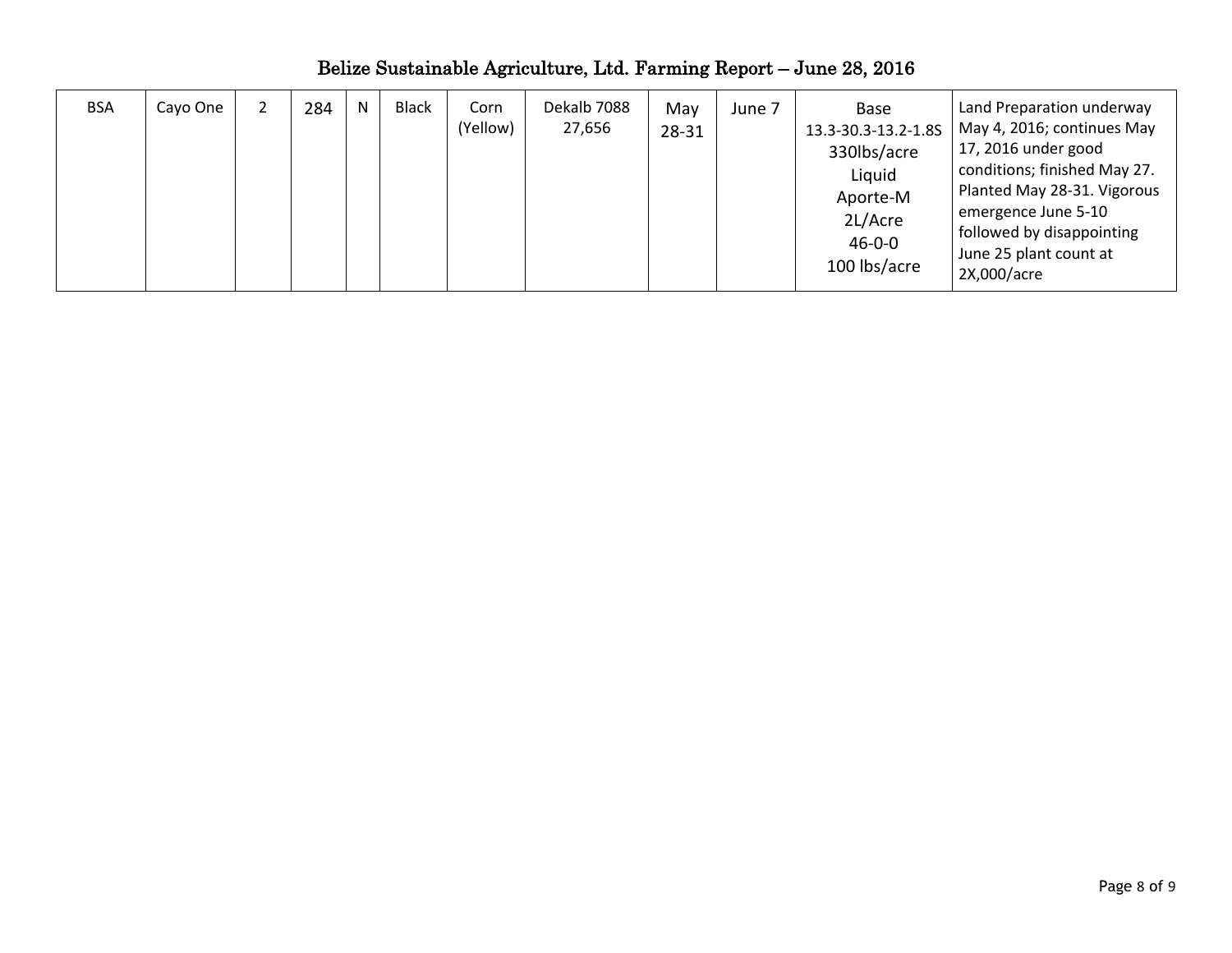| <b>BSA</b> | Cayo One |  | 284 | N | Black | Corn<br>(Yellow) | Dekalb 7088<br>27,656 | May<br>28-31 | June 7 | Base<br>13.3-30.3-13.2-1.8S<br>330lbs/acre<br>Liquid<br>Aporte-M<br>2L/Acre<br>$46 - 0 - 0$<br>100 lbs/acre | Land Preparation underway<br>May 4, 2016; continues May<br>17, 2016 under good<br>conditions; finished May 27.<br>Planted May 28-31. Vigorous<br>emergence June 5-10<br>followed by disappointing<br>June 25 plant count at<br>2X,000/acre |
|------------|----------|--|-----|---|-------|------------------|-----------------------|--------------|--------|-------------------------------------------------------------------------------------------------------------|--------------------------------------------------------------------------------------------------------------------------------------------------------------------------------------------------------------------------------------------|
|------------|----------|--|-----|---|-------|------------------|-----------------------|--------------|--------|-------------------------------------------------------------------------------------------------------------|--------------------------------------------------------------------------------------------------------------------------------------------------------------------------------------------------------------------------------------------|